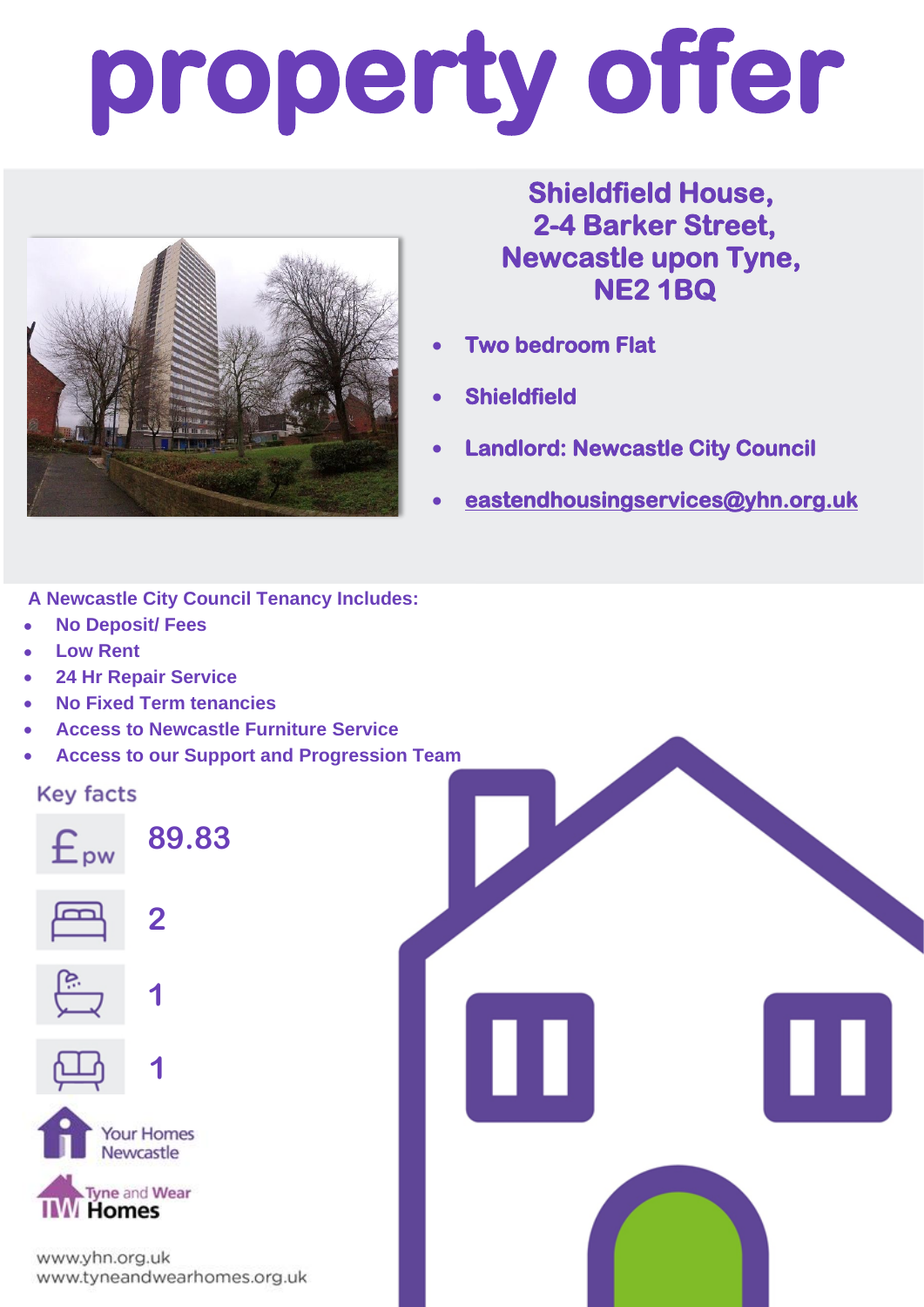# **property offer**



### **Shieldfield House, 2-4 Barker Street, Newcastle upon Tyne, NE2 1BQ**

- **Two bedroom Flat**
- **Shieldfield**
- **Landlord: Newcastle City Council**
- **[eastendhousingservices@yhn.org.uk](mailto:eastendhousingservices@yhn.org.uk)**

Ш

**A Newcastle City Council Tenancy Includes:**

- **No Deposit/ Fees**
- **Low Rent**
- **24 Hr Repair Service**
- **No Fixed Term tenancies**
- **Access to Newcastle Furniture Service**
- **Access to our Support and Progression Team**

#### **Key facts**



www.yhn.org.uk www.tyneandwearhomes.org.uk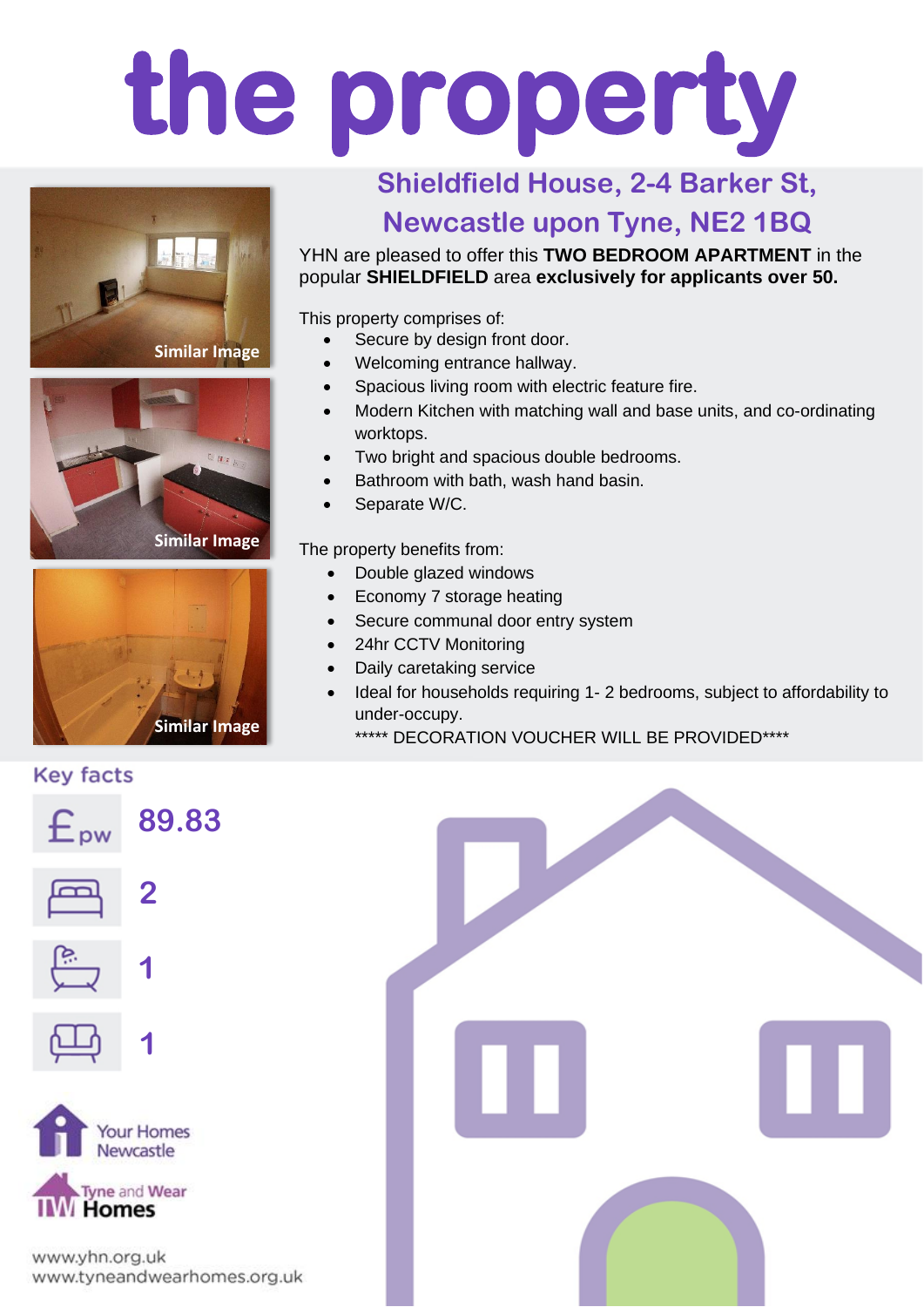# **the property**





**Similar Image**



### **Shieldfield House, 2-4 Barker St, Newcastle upon Tyne, NE2 1BQ**

YHN are pleased to offer this **TWO BEDROOM APARTMENT** in the popular **SHIELDFIELD** area **exclusively for applicants over 50.**

This property comprises of:

- Secure by design front door.
- Welcoming entrance hallway.
- Spacious living room with electric feature fire.
- Modern Kitchen with matching wall and base units, and co-ordinating worktops.
- Two bright and spacious double bedrooms.
- Bathroom with bath, wash hand basin.
- Separate W/C.

The property benefits from:

- Double glazed windows
- Economy 7 storage heating
- Secure communal door entry system
- 24hr CCTV Monitoring
- Daily caretaking service
- Ideal for households requiring 1- 2 bedrooms, subject to affordability to under-occupy.
- **Similar Image Similar Similar Strategies Similar Image Similar Strategies Similar Similar Strategies Similar Strategies Similar Strategies Similar Strategies Similar Strategies Strategies Strategies**

#### **Key facts**



**Tyne and Wear Homes** 

www.yhn.org.uk www.tyneandwearhomes.org.uk

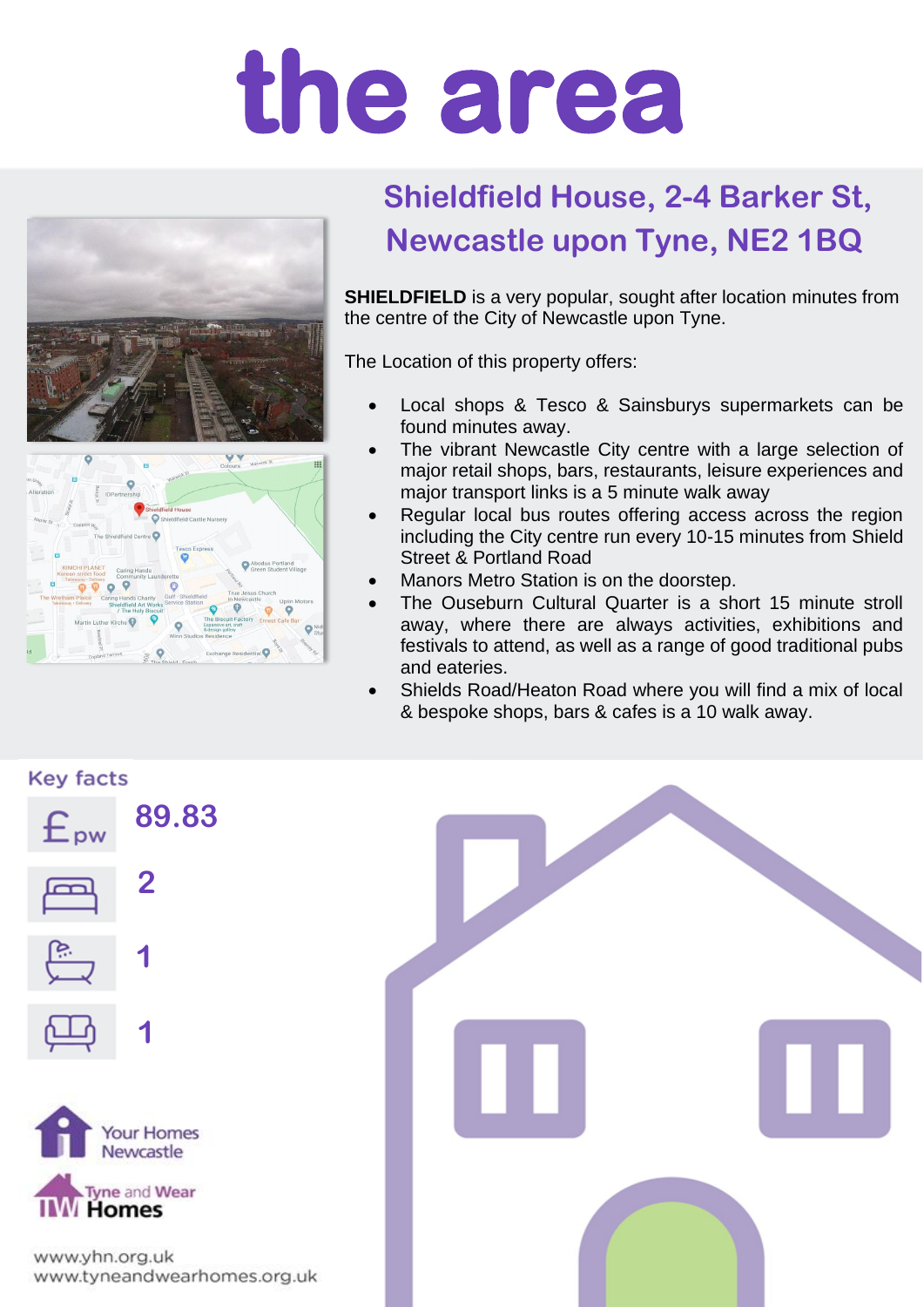## **the area**



## **Shieldfield House, 2-4 Barker St, Newcastle upon Tyne, NE2 1BQ**

**SHIELDFIELD** is a very popular, sought after location minutes from the centre of the City of Newcastle upon Tyne.

The Location of this property offers:

- Local shops & Tesco & Sainsburys supermarkets can be found minutes away.
- The vibrant Newcastle City centre with a large selection of major retail shops, bars, restaurants, leisure experiences and major transport links is a 5 minute walk away
- Regular local bus routes offering access across the region including the City centre run every 10-15 minutes from Shield Street & Portland Road
- Manors Metro Station is on the doorstep.
- The Ouseburn Cultural Quarter is a short 15 minute stroll away, where there are always activities, exhibitions and festivals to attend, as well as a range of good traditional pubs and eateries.
- Shields Road/Heaton Road where you will find a mix of local & bespoke shops, bars & cafes is a 10 walk away.